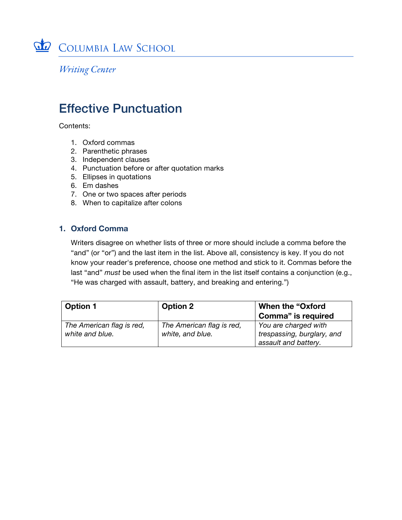

**Writing Center** 

# Effective Punctuation

Contents:

- 1. Oxford commas
- 2. Parenthetic phrases
- 3. Independent clauses
- 4. Punctuation before or after quotation marks
- 5. Ellipses in quotations
- 6. Em dashes
- 7. One or two spaces after periods
- 8. When to capitalize after colons

## **1. Oxford Comma**

Writers disagree on whether lists of three or more should include a comma before the "and" (or "or") and the last item in the list. Above all, consistency is key. If you do not know your reader's preference, choose one method and stick to it. Commas before the last "and" *must* be used when the final item in the list itself contains a conjunction (e.g., "He was charged with assault, battery, and breaking and entering.")

| Option 1                  | <b>Option 2</b>           | <b>When the "Oxford</b>    |
|---------------------------|---------------------------|----------------------------|
|                           |                           | Comma" is required         |
| The American flag is red, | The American flag is red, | You are charged with       |
| white and blue.           | white, and blue.          | trespassing, burglary, and |
|                           |                           | assault and battery.       |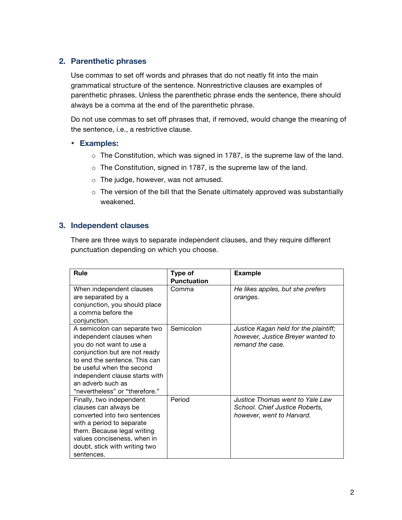#### **2. Parenthetic phrases**

Use commas to set off words and phrases that do not neatly fit into the main grammatical structure of the sentence. Nonrestrictive clauses are examples of parenthetic phrases. Unless the parenthetic phrase ends the sentence, there should always be a comma at the end of the parenthetic phrase.

Do not use commas to set off phrases that, if removed, would change the meaning of the sentence, i.e., a restrictive clause.

#### • **Examples:**

- o The Constitution, which was signed in 1787, is the supreme law of the land.
- o The Constitution, signed in 1787, is the supreme law of the land.
- o The judge, however, was not amused.
- $\circ$  The version of the bill that the Senate ultimately approved was substantially weakened.

#### **3. Independent clauses**

There are three ways to separate independent clauses, and they require different punctuation depending on which you choose.

| Rule                           | Type of            | <b>Example</b>                        |
|--------------------------------|--------------------|---------------------------------------|
|                                | <b>Punctuation</b> |                                       |
| When independent clauses       | Comma              | He likes apples, but she prefers      |
| are separated by a             |                    | oranges.                              |
| conjunction, you should place  |                    |                                       |
| a comma before the             |                    |                                       |
| conjunction.                   |                    |                                       |
| A semicolon can separate two   | Semicolon          | Justice Kagan held for the plaintiff; |
| independent clauses when       |                    | however, Justice Breyer wanted to     |
| you do not want to use a       |                    | remand the case.                      |
| conjunction but are not ready  |                    |                                       |
| to end the sentence. This can  |                    |                                       |
| be useful when the second      |                    |                                       |
| independent clause starts with |                    |                                       |
| an adverb such as              |                    |                                       |
| "nevertheless" or "therefore." |                    |                                       |
| Finally, two independent       | Period             | Justice Thomas went to Yale Law       |
| clauses can always be          |                    | School. Chief Justice Roberts,        |
| converted into two sentences   |                    | however, went to Harvard.             |
| with a period to separate      |                    |                                       |
| them. Because legal writing    |                    |                                       |
| values conciseness, when in    |                    |                                       |
| doubt, stick with writing two  |                    |                                       |
| sentences.                     |                    |                                       |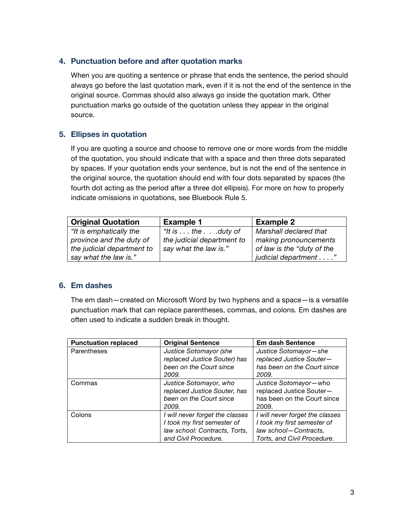## **4. Punctuation before and after quotation marks**

When you are quoting a sentence or phrase that ends the sentence, the period should always go before the last quotation mark, even if it is not the end of the sentence in the original source. Commas should also always go inside the quotation mark. Other punctuation marks go outside of the quotation unless they appear in the original source.

## **5. Ellipses in quotation**

If you are quoting a source and choose to remove one or more words from the middle of the quotation, you should indicate that with a space and then three dots separated by spaces. If your quotation ends your sentence, but is not the end of the sentence in the original source, the quotation should end with four dots separated by spaces (the fourth dot acting as the period after a three dot ellipsis). For more on how to properly indicate omissions in quotations, see Bluebook Rule 5.

| <b>Original Quotation</b>  | <b>Example 1</b>                   | <b>Example 2</b>           |
|----------------------------|------------------------------------|----------------------------|
| "It is emphatically the    | "It is $\dots$ the $\dots$ duty of | Marshall declared that     |
| province and the duty of   | the judicial department to         | making pronouncements      |
| the judicial department to | say what the law is."              | of law is the "duty of the |
| say what the law is."      |                                    | judicial department"       |

#### **6. Em dashes**

The em dash—created on Microsoft Word by two hyphens and a space—is a versatile punctuation mark that can replace parentheses, commas, and colons. Em dashes are often used to indicate a sudden break in thought.

| <b>Punctuation replaced</b> | <b>Original Sentence</b>        | <b>Em dash Sentence</b>         |
|-----------------------------|---------------------------------|---------------------------------|
| Parentheses                 | Justice Sotomayor (she          | Justice Sotomayor-she           |
|                             | replaced Justice Souter) has    | replaced Justice Souter-        |
|                             | been on the Court since         | has been on the Court since     |
|                             | 2009.                           | 2009.                           |
| Commas                      | Justice Sotomayor, who          | Justice Sotomayor-who           |
|                             | replaced Justice Souter, has    | replaced Justice Souter-        |
|                             | been on the Court since         | has been on the Court since     |
|                             | 2009.                           | 2009.                           |
| Colons                      | I will never forget the classes | I will never forget the classes |
|                             | I took my first semester of     | I took my first semester of     |
|                             | law school: Contracts, Torts,   | law school-Contracts,           |
|                             | and Civil Procedure.            | Torts, and Civil Procedure.     |